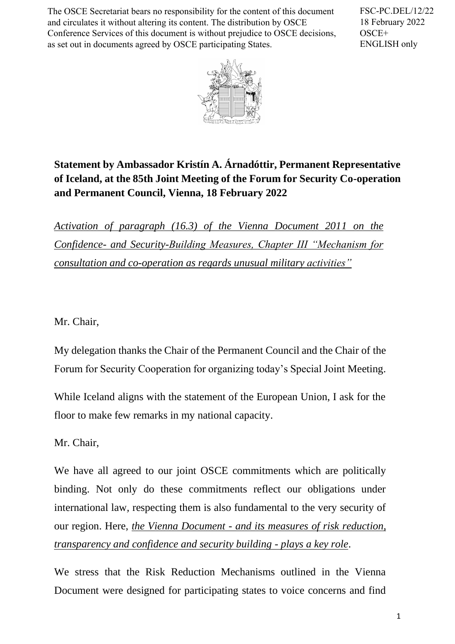The OSCE Secretariat bears no responsibility for the content of this document and circulates it without altering its content. The distribution by OSCE Conference Services of this document is without prejudice to OSCE decisions, as set out in documents agreed by OSCE participating States.

FSC-PC.DEL/12/22 18 February 2022 OSCE+ ENGLISH only



## **Statement by Ambassador Kristín A. Árnadóttir, Permanent Representative of Iceland, at the 85th Joint Meeting of the Forum for Security Co-operation and Permanent Council, Vienna, 18 February 2022**

*Activation of paragraph (16.3) of the Vienna Document 2011 on the Confidence- and Security-Building Measures, Chapter III "Mechanism for consultation and co-operation as regards unusual military activities"*

Mr. Chair,

My delegation thanks the Chair of the Permanent Council and the Chair of the Forum for Security Cooperation for organizing today's Special Joint Meeting.

While Iceland aligns with the statement of the European Union, I ask for the floor to make few remarks in my national capacity.

Mr. Chair,

We have all agreed to our joint OSCE commitments which are politically binding. Not only do these commitments reflect our obligations under international law*,* respecting them is also fundamental to the very security of our region. Here, *the Vienna Document - and its measures of risk reduction, transparency and confidence and security building - plays a key role*.

We stress that the Risk Reduction Mechanisms outlined in the Vienna Document were designed for participating states to voice concerns and find